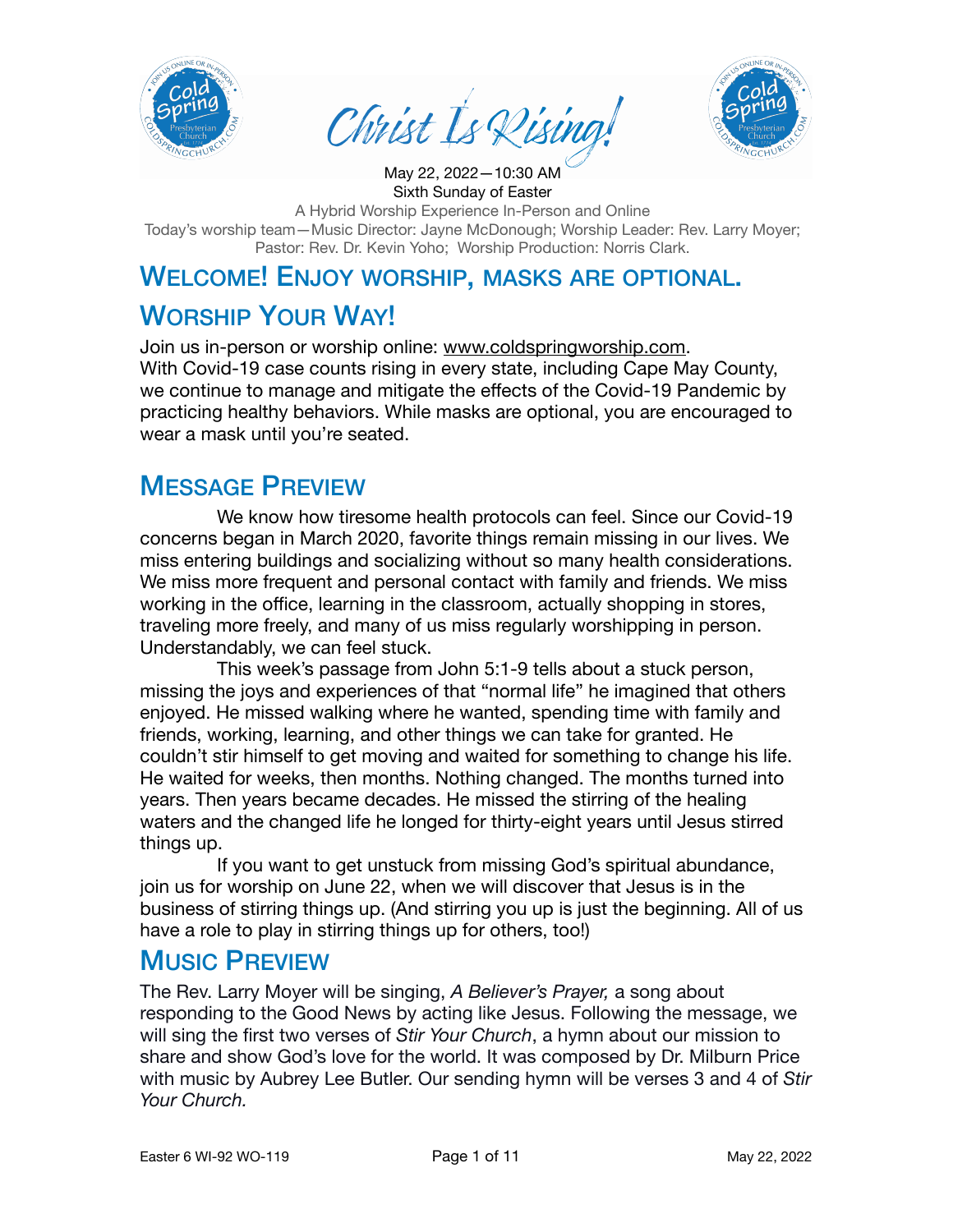

Christ Is Disina



Sixth Sunday of Easter A Hybrid Worship Experience In-Person and Online Today's worship team—Music Director: Jayne McDonough; Worship Leader: Rev. Larry Moyer; Pastor: Rev. Dr. Kevin Yoho; Worship Production: Norris Clark.

May 22, 2022—10:30 AM

# WELCOME! ENJOY WORSHIP, MASKS ARE OPTIONAL.

# WORSHIP YOUR WAY!

Join us in-person or worship online: [www.coldspringworship.com.](http://www.coldspringworship.com) With Covid-19 case counts rising in every state, including Cape May County, we continue to manage and mitigate the effects of the Covid-19 Pandemic by practicing healthy behaviors. While masks are optional, you are encouraged to wear a mask until you're seated.

#### MESSAGE PREVIEW

We know how tiresome health protocols can feel. Since our Covid-19 concerns began in March 2020, favorite things remain missing in our lives. We miss entering buildings and socializing without so many health considerations. We miss more frequent and personal contact with family and friends. We miss working in the office, learning in the classroom, actually shopping in stores, traveling more freely, and many of us miss regularly worshipping in person. Understandably, we can feel stuck.

This week's passage from John 5:1-9 tells about a stuck person, missing the joys and experiences of that "normal life" he imagined that others enjoyed. He missed walking where he wanted, spending time with family and friends, working, learning, and other things we can take for granted. He couldn't stir himself to get moving and waited for something to change his life. He waited for weeks, then months. Nothing changed. The months turned into years. Then years became decades. He missed the stirring of the healing waters and the changed life he longed for thirty-eight years until Jesus stirred things up.

If you want to get unstuck from missing God's spiritual abundance, join us for worship on June 22, when we will discover that Jesus is in the business of stirring things up. (And stirring you up is just the beginning. All of us have a role to play in stirring things up for others, too!)

#### MUSIC PREVIEW

The Rev. Larry Moyer will be singing, *A Believer's Prayer,* a song about responding to the Good News by acting like Jesus. Following the message, we will sing the first two verses of *Stir Your Church*, a hymn about our mission to share and show God's love for the world. It was composed by Dr. Milburn Price with music by Aubrey Lee Butler. Our sending hymn will be verses 3 and 4 of *Stir Your Church.*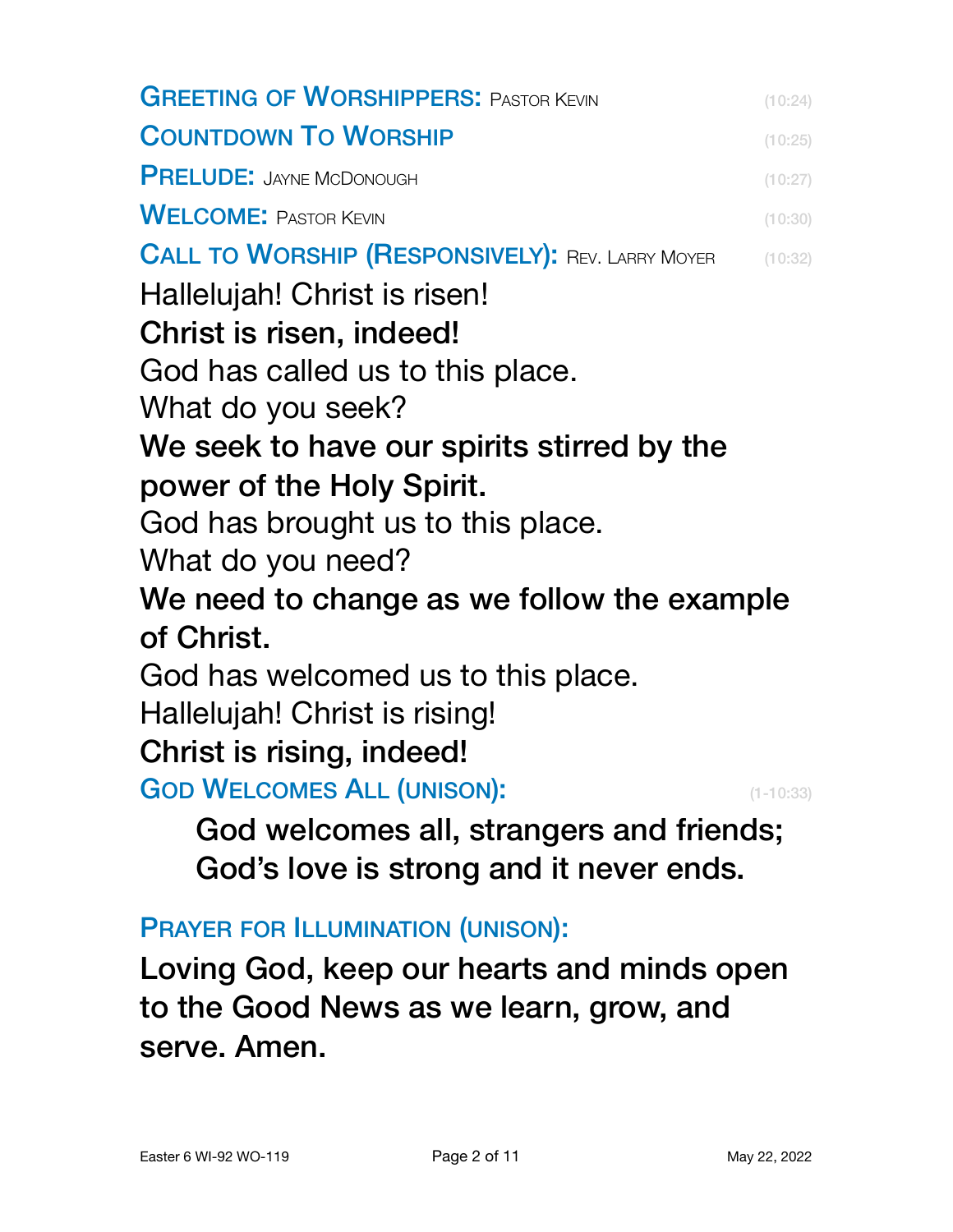| <b>GREETING OF WORSHIPPERS: PASTOR KEVIN</b>            | (10:24)       |
|---------------------------------------------------------|---------------|
| <b>COUNTDOWN TO WORSHIP</b>                             | (10:25)       |
| <b>PRELUDE: JAYNE MCDONOUGH</b>                         | (10:27)       |
| <b>WELCOME: PASTOR KEVIN</b>                            | (10:30)       |
| <b>CALL TO WORSHIP (RESPONSIVELY): REV. LARRY MOYER</b> | (10:32)       |
| Hallelujah! Christ is risen!                            |               |
| Christ is risen, indeed!                                |               |
| God has called us to this place.                        |               |
| What do you seek?                                       |               |
| We seek to have our spirits stirred by the              |               |
| power of the Holy Spirit.                               |               |
| God has brought us to this place.                       |               |
| What do you need?                                       |               |
| We need to change as we follow the example              |               |
| of Christ.                                              |               |
| God has welcomed us to this place.                      |               |
| Hallelujah! Christ is rising!                           |               |
| Christ is rising, indeed!                               |               |
| <b>GOD WELCOMES ALL (UNISON):</b>                       | $(1 - 10:33)$ |
| God welcomes all, strangers and friends;                |               |
| God's love is strong and it never ends.                 |               |
|                                                         |               |

PRAYER FOR ILLUMINATION (UNISON):

Loving God, keep our hearts and minds open to the Good News as we learn, grow, and serve. Amen.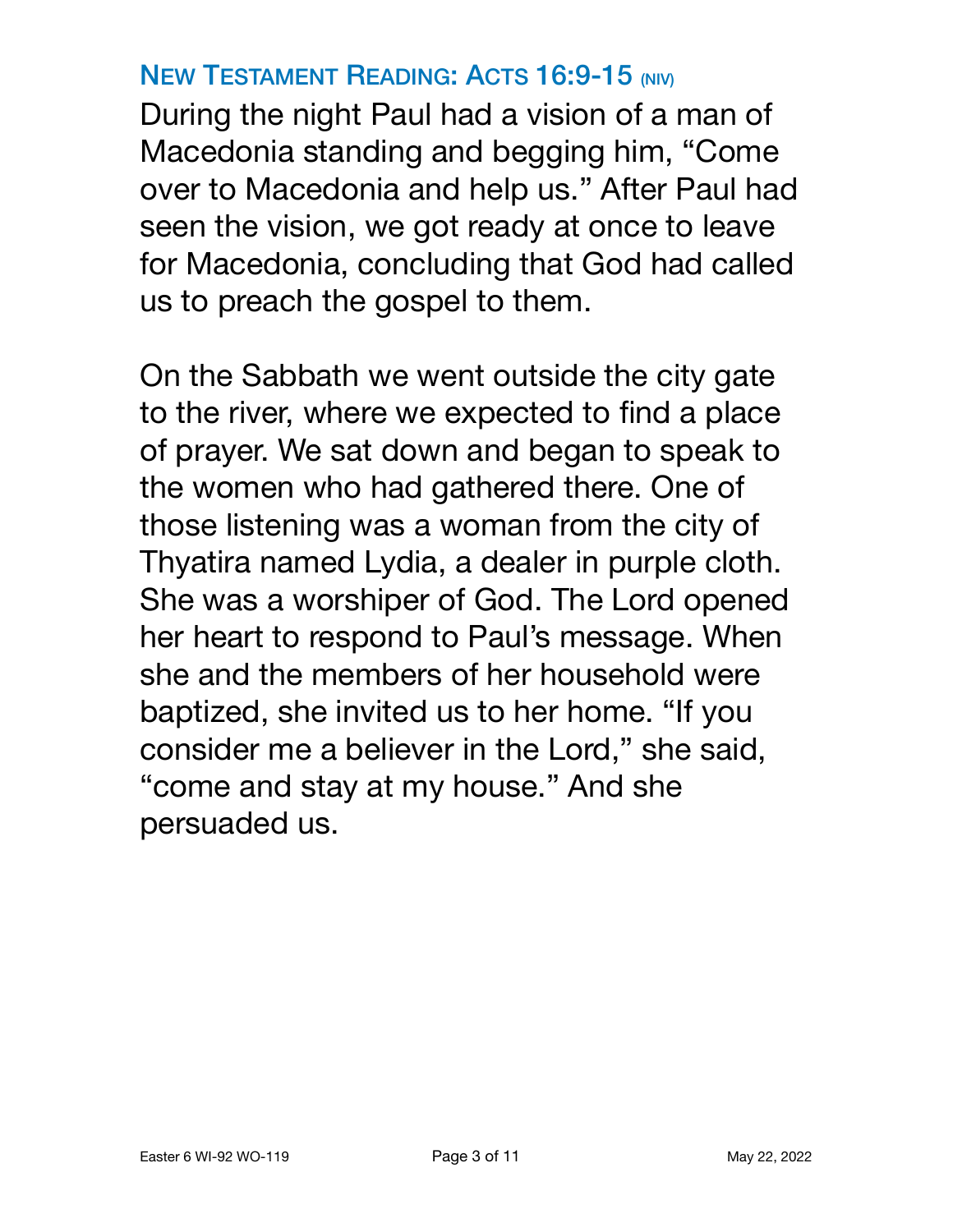### **NEW TESTAMENT READING: ACTS 16:9-15 (NIV)**

During the night Paul had a vision of a man of Macedonia standing and begging him, "Come over to Macedonia and help us." After Paul had seen the vision, we got ready at once to leave for Macedonia, concluding that God had called us to preach the gospel to them.

On the Sabbath we went outside the city gate to the river, where we expected to find a place of prayer. We sat down and began to speak to the women who had gathered there. One of those listening was a woman from the city of Thyatira named Lydia, a dealer in purple cloth. She was a worshiper of God. The Lord opened her heart to respond to Paul's message. When she and the members of her household were baptized, she invited us to her home. "If you consider me a believer in the Lord," she said, "come and stay at my house." And she persuaded us.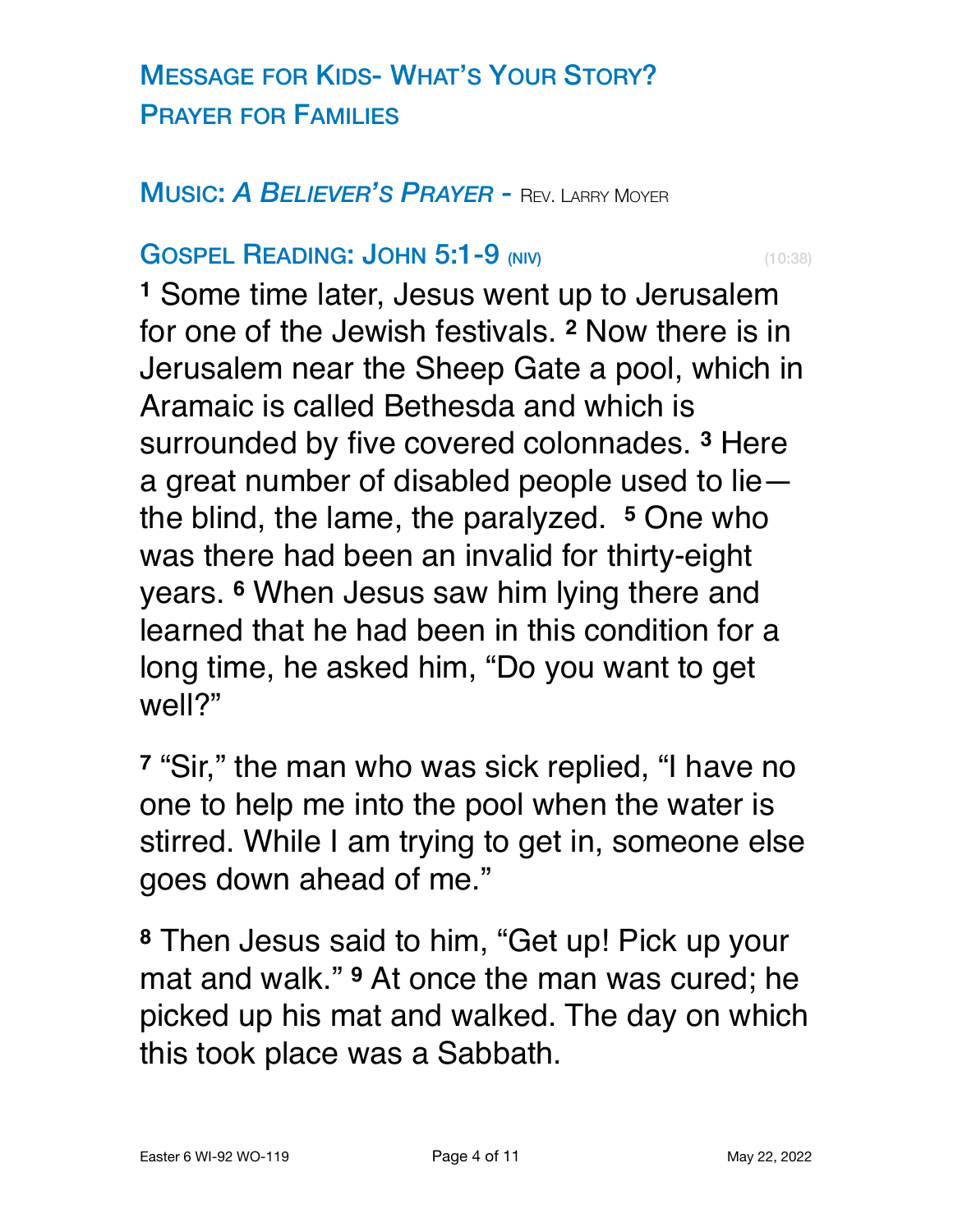# MESSAGE FOR KIDS- WHAT'S YOUR STORY? PRAYER FOR FAMILIES

#### MUSIC: *A BELIEVER'S PRAYER* - REV. LARRY MOYER

#### **GOSPEL READING: JOHN 5:1-9 (NIV)** (10:38)

**<sup>1</sup>** Some time later, Jesus went up to Jerusalem for one of the Jewish festivals. **<sup>2</sup>** Now there is in Jerusalem near the Sheep Gate a pool, which in Aramaic is called Bethesda and which is surrounded by five covered colonnades. **<sup>3</sup>** Here a great number of disabled people used to lie the blind, the lame, the paralyzed. **<sup>5</sup>** One who was there had been an invalid for thirty-eight years. **<sup>6</sup>** When Jesus saw him lying there and learned that he had been in this condition for a long time, he asked him, "Do you want to get well?"

**<sup>7</sup>** "Sir," the man who was sick replied, "I have no one to help me into the pool when the water is stirred. While I am trying to get in, someone else goes down ahead of me."

**<sup>8</sup>** Then Jesus said to him, "Get up! Pick up your mat and walk." **<sup>9</sup>** At once the man was cured; he picked up his mat and walked. The day on which this took place was a Sabbath.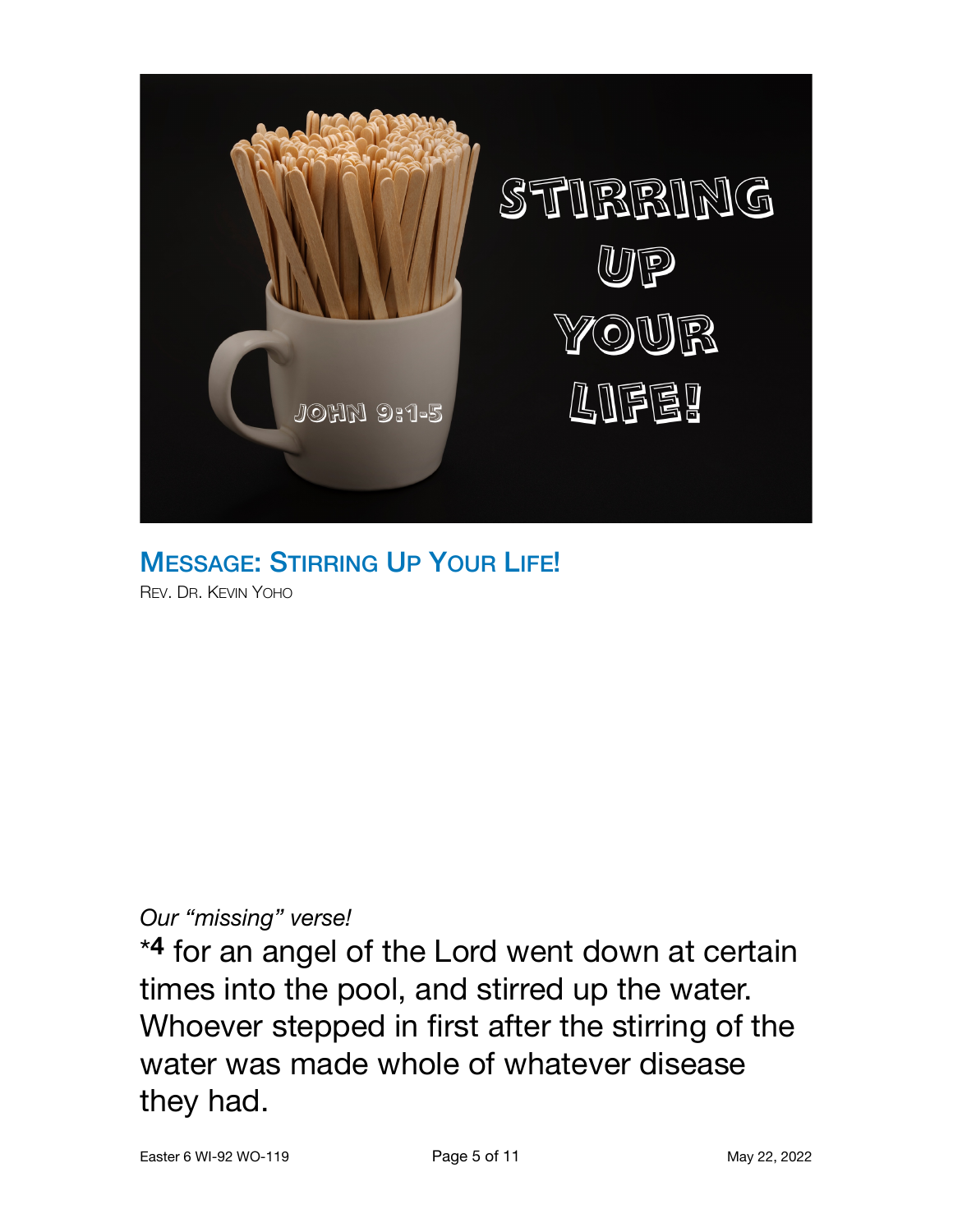

MESSAGE: STIRRING UP YOUR LIFE! REV. DR. KEVIN YOHO

#### *Our "missing" verse!*

\***4** for an angel of the Lord went down at certain times into the pool, and stirred up the water. Whoever stepped in first after the stirring of the water was made whole of whatever disease they had.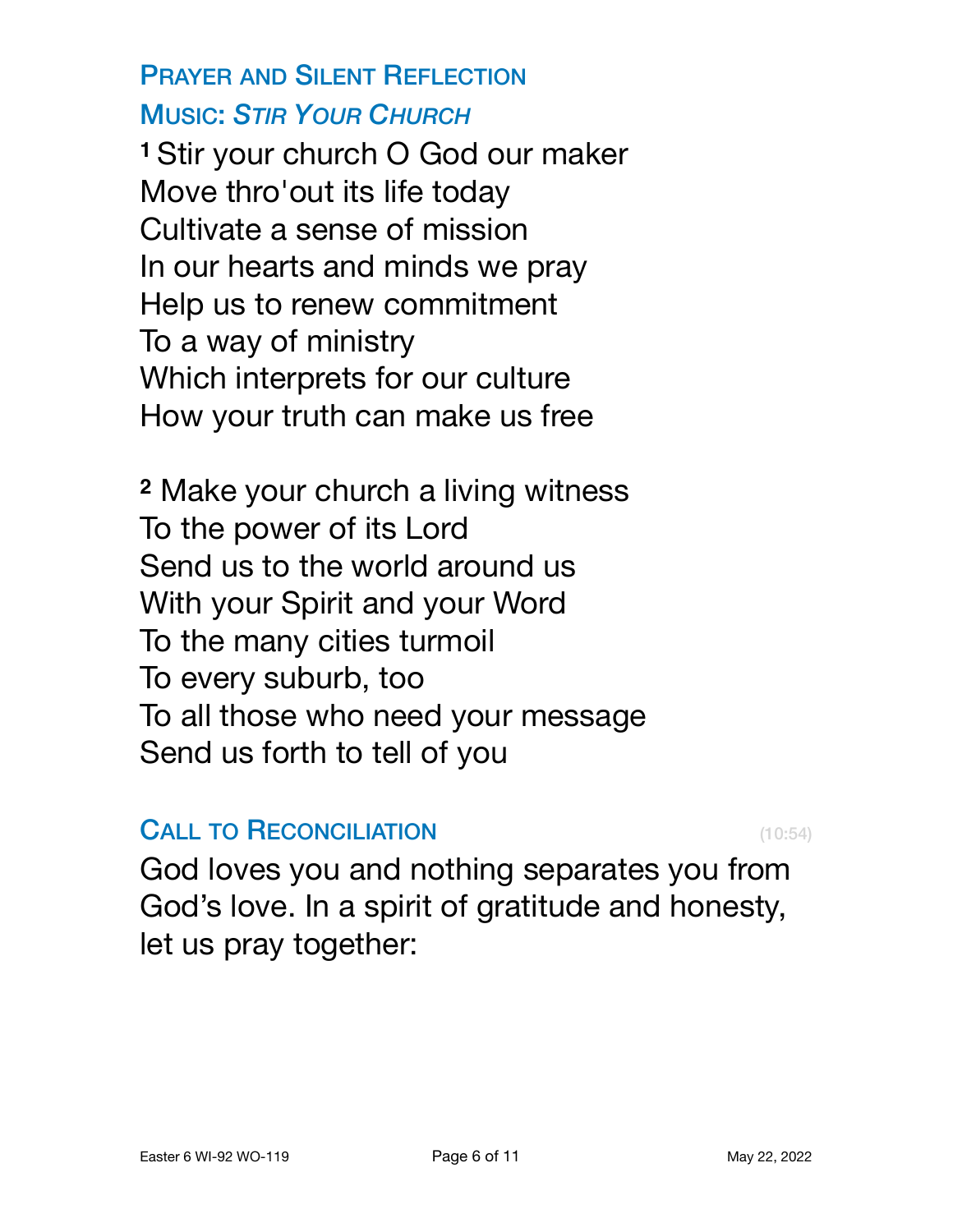# PRAYER AND SILENT REFLECTION MUSIC: *STIR YOUR CHURCH*

**<sup>1</sup>**Stir your church O God our maker Move thro'out its life today Cultivate a sense of mission In our hearts and minds we pray Help us to renew commitment To a way of ministry Which interprets for our culture How your truth can make us free

**<sup>2</sup>** Make your church a living witness To the power of its Lord Send us to the world around us With your Spirit and your Word To the many cities turmoil To every suburb, too To all those who need your message Send us forth to tell of you

### **CALL TO RECONCILIATION** (10:54)

God loves you and nothing separates you from God's love. In a spirit of gratitude and honesty, let us pray together: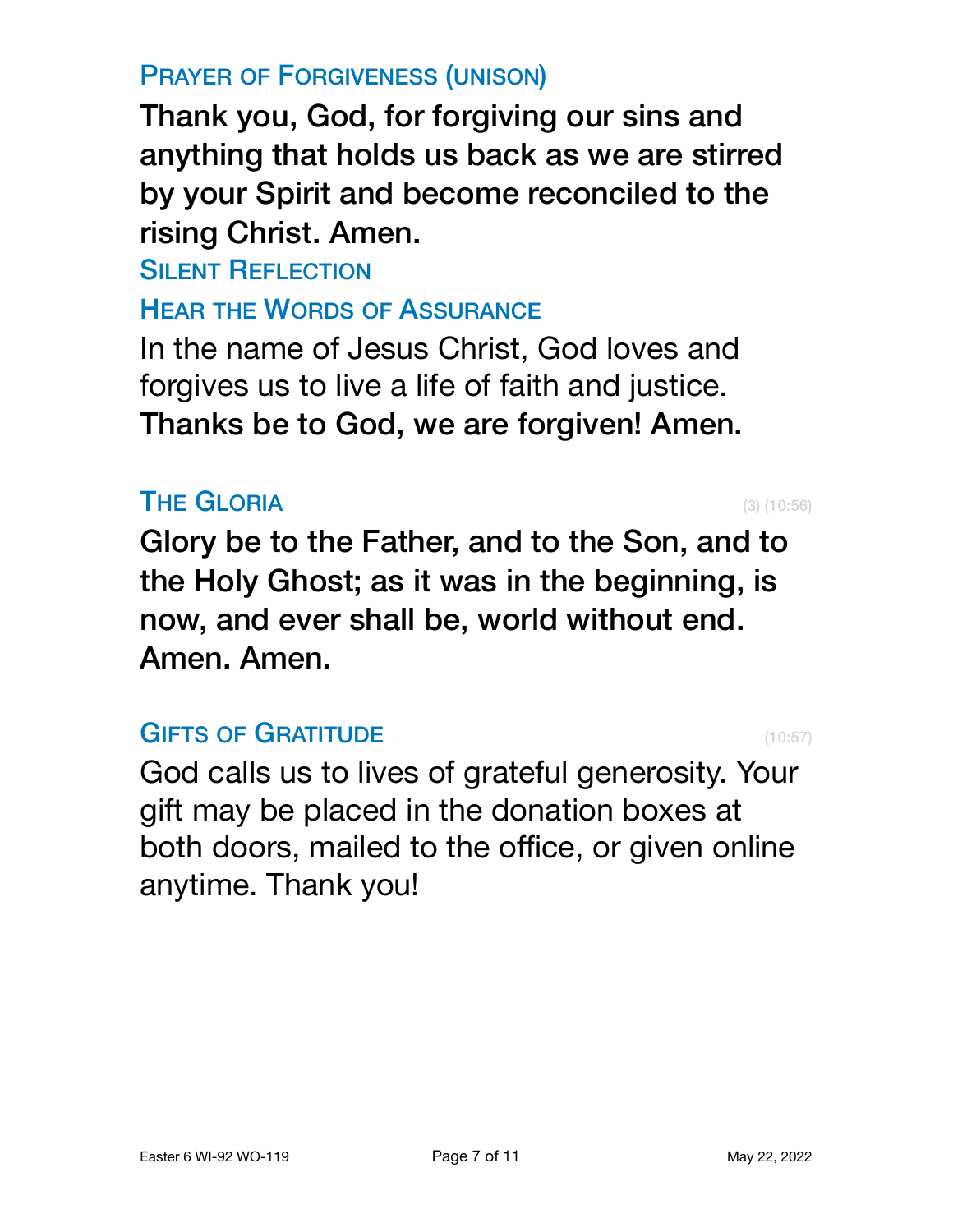# PRAYER OF FORGIVENESS (UNISON)

Thank you, God, for forgiving our sins and anything that holds us back as we are stirred by your Spirit and become reconciled to the rising Christ. Amen.

**SILENT REFLECTION** 

HEAR THE WORDS OF ASSURANCE

In the name of Jesus Christ, God loves and forgives us to live a life of faith and justice. Thanks be to God, we are forgiven! Amen.

# **THE GLORIA** (3)  $(10:56)$

Glory be to the Father, and to the Son, and to the Holy Ghost; as it was in the beginning, is now, and ever shall be, world without end. Amen. Amen.

### GIFTS OF GRATITUDE (10:57)

God calls us to lives of grateful generosity. Your gift may be placed in the donation boxes at both doors, mailed to the office, or given [online](https://www.coldspringchurch.com/giving) anytime. Thank you!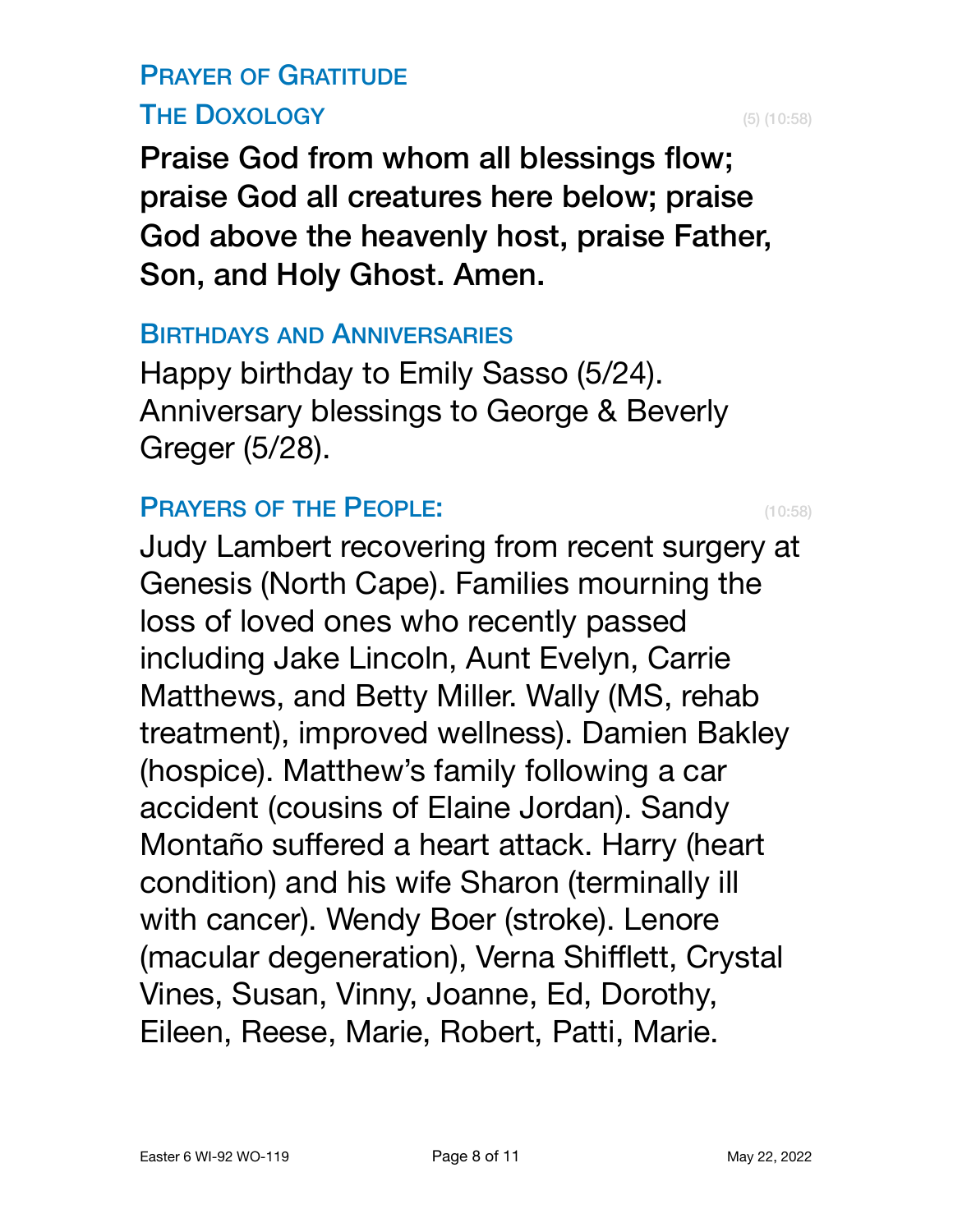# PRAYER OF GRATITUDE THE DOXOLOGY (5) (10:58)

Praise God from whom all blessings flow; praise God all creatures here below; praise God above the heavenly host, praise Father, Son, and Holy Ghost. Amen.

#### BIRTHDAYS AND ANNIVERSARIES

Happy birthday to Emily Sasso (5/24). Anniversary blessings to George & Beverly Greger (5/28).

#### PRAYERS OF THE PEOPLE: (10:58)

Judy Lambert recovering from recent surgery at Genesis (North Cape). Families mourning the loss of loved ones who recently passed including Jake Lincoln, Aunt Evelyn, Carrie Matthews, and Betty Miller. Wally (MS, rehab treatment), improved wellness). Damien Bakley (hospice). Matthew's family following a car accident (cousins of Elaine Jordan). Sandy Montaño suffered a heart attack. Harry (heart condition) and his wife Sharon (terminally ill with cancer). Wendy Boer (stroke). Lenore (macular degeneration), Verna Shifflett, Crystal Vines, Susan, Vinny, Joanne, Ed, Dorothy, Eileen, Reese, Marie, Robert, Patti, Marie.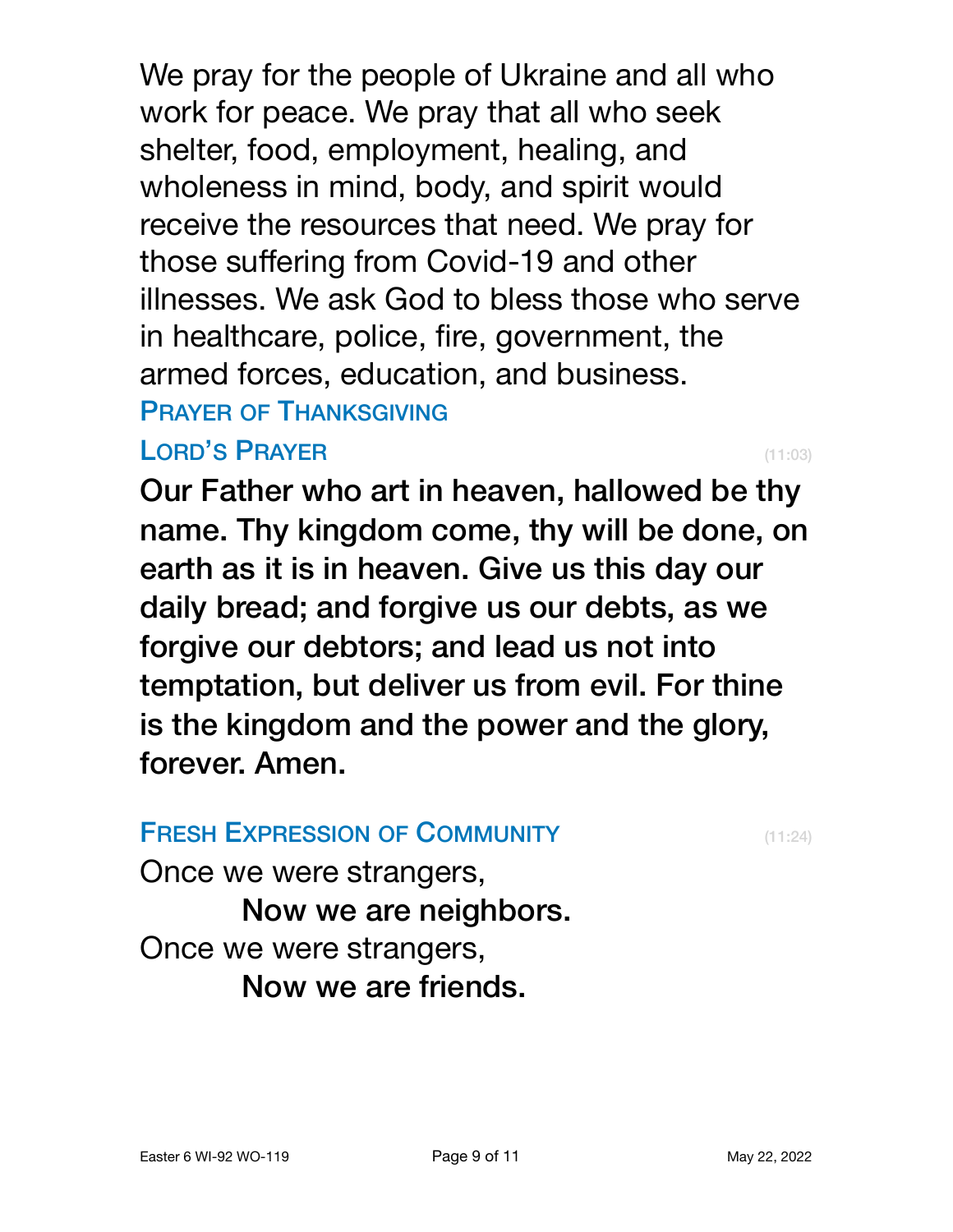We pray for the people of Ukraine and all who work for peace. We pray that all who seek shelter, food, employment, healing, and wholeness in mind, body, and spirit would receive the resources that need. We pray for those suffering from Covid-19 and other illnesses. We ask God to bless those who serve in healthcare, police, fire, government, the armed forces, education, and business. PRAYER OF THANKSGIVING

# LORD'S PRAYER (11:03)

Our Father who art in heaven, hallowed be thy name. Thy kingdom come, thy will be done, on earth as it is in heaven. Give us this day our daily bread; and forgive us our debts, as we forgive our debtors; and lead us not into temptation, but deliver us from evil. For thine is the kingdom and the power and the glory, forever. Amen.

**FRESH EXPRESSION OF COMMUNITY** (11:24)

Once we were strangers,

Now we are neighbors. Once we were strangers,

Now we are friends.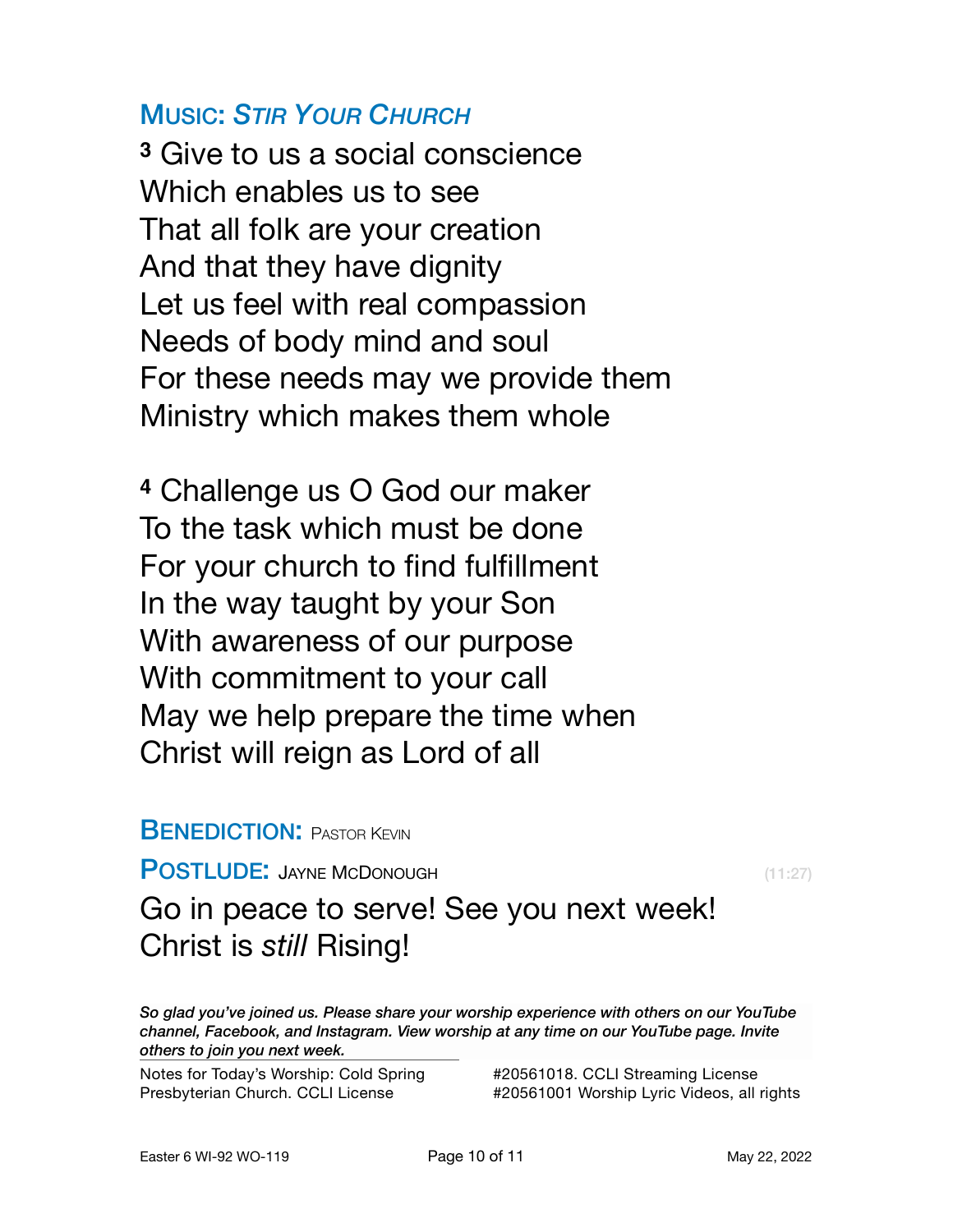#### MUSIC: *STIR YOUR CHURCH*

**<sup>3</sup>** Give to us a social conscience Which enables us to see That all folk are your creation And that they have dignity Let us feel with real compassion Needs of body mind and soul For these needs may we provide them Ministry which makes them whole

**<sup>4</sup>** Challenge us O God our maker To the task which must be done For your church to find fulfillment In the way taught by your Son With awareness of our purpose With commitment to your call May we help prepare the time when Christ will reign as Lord of all

#### **BENEDICTION: PASTOR KEVIN**

POSTLUDE: JAYNE MCDONOUGH (11:27)

Go in peace to serve! See you next week! Christ is *still* Rising!

*So glad you've joined us. Please share your worship experience with others on our YouTube channel, Facebook, and Instagram. View worship at any time on our YouTube page. Invite others to join you next week.*

Notes for Today's Worship: Cold Spring Presbyterian Church. CCLI License

#20561018. CCLI Streaming License #20561001 Worship Lyric Videos, all rights